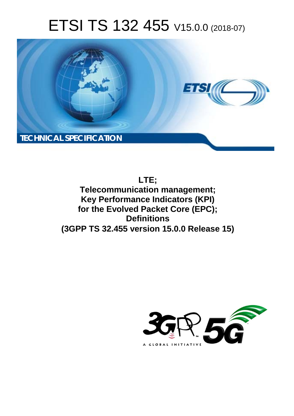# ETSI TS 132 455 V15.0.0 (2018-07)



**LTE; Telecommunication management; Key Performance Indicators (KPI) for the Evolved Packet Core (EPC); Definitions (3GPP TS 32.455 version 15.0.0 Release 15)** 

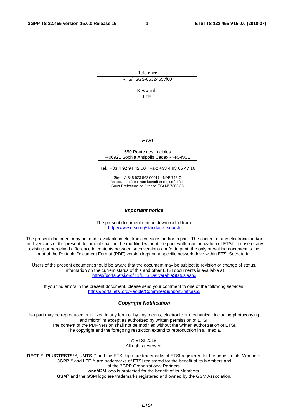Reference RTS/TSGS-0532455vf00

Keywords

LTE

#### *ETSI*

#### 650 Route des Lucioles F-06921 Sophia Antipolis Cedex - FRANCE

Tel.: +33 4 92 94 42 00 Fax: +33 4 93 65 47 16

Siret N° 348 623 562 00017 - NAF 742 C Association à but non lucratif enregistrée à la Sous-Préfecture de Grasse (06) N° 7803/88

#### *Important notice*

The present document can be downloaded from: <http://www.etsi.org/standards-search>

The present document may be made available in electronic versions and/or in print. The content of any electronic and/or print versions of the present document shall not be modified without the prior written authorization of ETSI. In case of any existing or perceived difference in contents between such versions and/or in print, the only prevailing document is the print of the Portable Document Format (PDF) version kept on a specific network drive within ETSI Secretariat.

Users of the present document should be aware that the document may be subject to revision or change of status. Information on the current status of this and other ETSI documents is available at <https://portal.etsi.org/TB/ETSIDeliverableStatus.aspx>

If you find errors in the present document, please send your comment to one of the following services: <https://portal.etsi.org/People/CommiteeSupportStaff.aspx>

#### *Copyright Notification*

No part may be reproduced or utilized in any form or by any means, electronic or mechanical, including photocopying and microfilm except as authorized by written permission of ETSI. The content of the PDF version shall not be modified without the written authorization of ETSI. The copyright and the foregoing restriction extend to reproduction in all media.

> © ETSI 2018. All rights reserved.

**DECT**TM, **PLUGTESTS**TM, **UMTS**TM and the ETSI logo are trademarks of ETSI registered for the benefit of its Members. **3GPP**TM and **LTE**TM are trademarks of ETSI registered for the benefit of its Members and of the 3GPP Organizational Partners. **oneM2M** logo is protected for the benefit of its Members.

**GSM**® and the GSM logo are trademarks registered and owned by the GSM Association.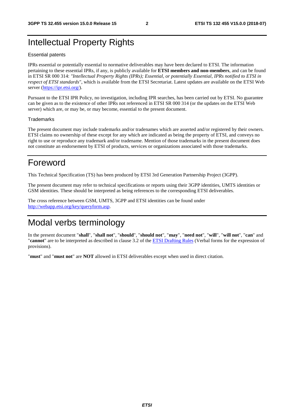### Intellectual Property Rights

#### Essential patents

IPRs essential or potentially essential to normative deliverables may have been declared to ETSI. The information pertaining to these essential IPRs, if any, is publicly available for **ETSI members and non-members**, and can be found in ETSI SR 000 314: *"Intellectual Property Rights (IPRs); Essential, or potentially Essential, IPRs notified to ETSI in respect of ETSI standards"*, which is available from the ETSI Secretariat. Latest updates are available on the ETSI Web server ([https://ipr.etsi.org/\)](https://ipr.etsi.org/).

Pursuant to the ETSI IPR Policy, no investigation, including IPR searches, has been carried out by ETSI. No guarantee can be given as to the existence of other IPRs not referenced in ETSI SR 000 314 (or the updates on the ETSI Web server) which are, or may be, or may become, essential to the present document.

#### **Trademarks**

The present document may include trademarks and/or tradenames which are asserted and/or registered by their owners. ETSI claims no ownership of these except for any which are indicated as being the property of ETSI, and conveys no right to use or reproduce any trademark and/or tradename. Mention of those trademarks in the present document does not constitute an endorsement by ETSI of products, services or organizations associated with those trademarks.

### Foreword

This Technical Specification (TS) has been produced by ETSI 3rd Generation Partnership Project (3GPP).

The present document may refer to technical specifications or reports using their 3GPP identities, UMTS identities or GSM identities. These should be interpreted as being references to the corresponding ETSI deliverables.

The cross reference between GSM, UMTS, 3GPP and ETSI identities can be found under [http://webapp.etsi.org/key/queryform.asp.](http://webapp.etsi.org/key/queryform.asp)

### Modal verbs terminology

In the present document "**shall**", "**shall not**", "**should**", "**should not**", "**may**", "**need not**", "**will**", "**will not**", "**can**" and "**cannot**" are to be interpreted as described in clause 3.2 of the [ETSI Drafting Rules](https://portal.etsi.org/Services/editHelp!/Howtostart/ETSIDraftingRules.aspx) (Verbal forms for the expression of provisions).

"**must**" and "**must not**" are **NOT** allowed in ETSI deliverables except when used in direct citation.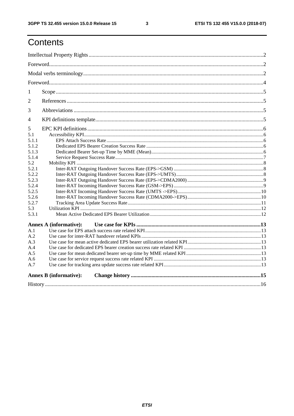$\mathbf{3}$ 

## Contents

| 1              |                               |  |  |  |  |  |  |
|----------------|-------------------------------|--|--|--|--|--|--|
| $\overline{2}$ |                               |  |  |  |  |  |  |
| 3              |                               |  |  |  |  |  |  |
| 4              |                               |  |  |  |  |  |  |
| 5              |                               |  |  |  |  |  |  |
| 5.1            |                               |  |  |  |  |  |  |
| 5.1.1          |                               |  |  |  |  |  |  |
| 5.1.2          |                               |  |  |  |  |  |  |
| 5.1.3          |                               |  |  |  |  |  |  |
| 5.1.4          |                               |  |  |  |  |  |  |
| 5.2            |                               |  |  |  |  |  |  |
| 5.2.1<br>5.2.2 |                               |  |  |  |  |  |  |
| 5.2.3          |                               |  |  |  |  |  |  |
| 5.2.4          |                               |  |  |  |  |  |  |
| 5.2.5          |                               |  |  |  |  |  |  |
| 5.2.6          |                               |  |  |  |  |  |  |
| 5.2.7          |                               |  |  |  |  |  |  |
| 5.3            |                               |  |  |  |  |  |  |
| 5.3.1          |                               |  |  |  |  |  |  |
|                | <b>Annex A (informative):</b> |  |  |  |  |  |  |
| A.1            |                               |  |  |  |  |  |  |
| A.2            |                               |  |  |  |  |  |  |
| A.3            |                               |  |  |  |  |  |  |
| A.4            |                               |  |  |  |  |  |  |
| A.5            |                               |  |  |  |  |  |  |
| A.6            |                               |  |  |  |  |  |  |
| A.7            |                               |  |  |  |  |  |  |
|                | <b>Annex B</b> (informative): |  |  |  |  |  |  |
|                |                               |  |  |  |  |  |  |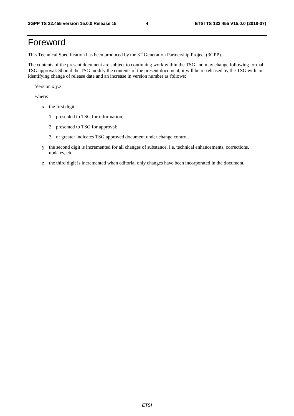## Foreword

This Technical Specification has been produced by the 3rd Generation Partnership Project (3GPP).

The contents of the present document are subject to continuing work within the TSG and may change following formal TSG approval. Should the TSG modify the contents of the present document, it will be re-released by the TSG with an identifying change of release date and an increase in version number as follows:

Version x.y.z

where:

- x the first digit:
	- 1 presented to TSG for information;
	- 2 presented to TSG for approval;
	- 3 or greater indicates TSG approved document under change control.
- y the second digit is incremented for all changes of substance, i.e. technical enhancements, corrections, updates, etc.
- z the third digit is incremented when editorial only changes have been incorporated in the document.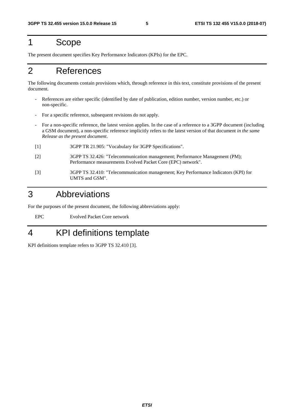#### 1 Scope

The present document specifies Key Performance Indicators (KPIs) for the EPC.

### 2 References

The following documents contain provisions which, through reference in this text, constitute provisions of the present document.

- References are either specific (identified by date of publication, edition number, version number, etc.) or non-specific.
- For a specific reference, subsequent revisions do not apply.
- For a non-specific reference, the latest version applies. In the case of a reference to a 3GPP document (including a GSM document), a non-specific reference implicitly refers to the latest version of that document *in the same Release as the present document*.
- [1] 3GPP TR 21.905: "Vocabulary for 3GPP Specifications".
- [2] 3GPP TS 32.426: "Telecommunication management; Performance Management (PM); Performance measurements Evolved Packet Core (EPC) network".
- [3] 3GPP TS 32.410: "Telecommunication management; Key Performance Indicators (KPI) for UMTS and GSM".

#### 3 Abbreviations

For the purposes of the present document, the following abbreviations apply:

EPC Evolved Packet Core network

### 4 KPI definitions template

KPI definitions template refers to 3GPP TS 32.410 [3].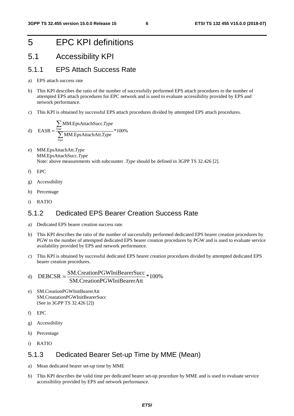### 5 EPC KPI definitions

### 5.1 Accessibility KPI

#### 5.1.1 EPS Attach Success Rate

- a) EPS attach success rate
- b) This KPI describes the ratio of the number of successfully performed EPS attach procedures to the number of attempted EPS attach procedures for EPC network and is used to evaluate accessibility provided by EPS and network performance.
- c) This KPI is obtained by successful EPS attach procedures divided by attempted EPS attach procedures.

d) EASR = 
$$
\frac{\sum_{Type} MM.EpsAttackSucc.Type}{\sum_{Type} MM.EpsAttackAtt.Type} * 100\%
$$

- e) MM.EpsAttachAtt.*Type* MM.EpsAttachSucc.*Type* Note: above measurements with subcounter .*Type* should be defined in 3GPP TS 32.426 [2].
- f) EPC
- g) Accessibility
- h) Percentage
- i) RATIO

#### 5.1.2 Dedicated EPS Bearer Creation Success Rate

- a) Dedicated EPS bearer creation success rate.
- b) This KPI describes the ratio of the number of successfully performed dedicated EPS bearer creation procedures by PGW to the number of attempted dedicated EPS bearer creation procedures by PGW and is used to evaluate service availability provided by EPS and network performance.
- c) This KPI is obtained by successful dedicated EPS bearer creation procedures divided by attempted dedicated EPS bearer creation procedures.
- d)  $DEBCSR =$   $\frac{SM.CreationPGWhiBearerSucc}{100\%}$ SM CreationPGWIniBearerAtt
- e) SM.CreationPGWInitBearerAtt SM.CreatationPGWInitBearerSucc (See in 3GPP TS 32.426 [2])
- f) EPC
- g) Accessibility
- h) Percentage
- i) RATIO

#### 5.1.3 Dedicated Bearer Set-up Time by MME (Mean)

- a) Mean dedicated bearer set-up time by MME
- b) This KPI describes the valid time per dedicated bearer set-up procedure by MME and is used to evaluate service accessibility provided by EPS and network performance.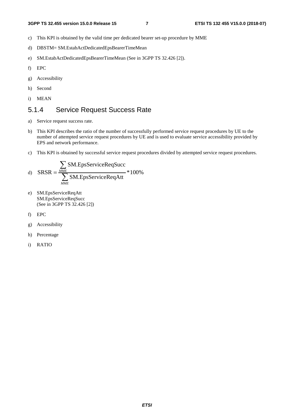- c) This KPI is obtained by the valid time per dedicated bearer set-up procedure by MME
- d) DBSTM= SM.EstabActDedicatedEpsBearerTimeMean
- e) SM.EstabActDedicatedEpsBearerTimeMean (See in 3GPP TS 32.426 [2]).
- f) EPC
- g) Accessibility
- h) Second
- i) MEAN

#### 5.1.4 Service Request Success Rate

- a) Service request success rate.
- b) This KPI describes the ratio of the number of successfully performed service request procedures by UE to the number of attempted service request procedures by UE and is used to evaluate service accessibility provided by EPS and network performance.
- c) This KPI is obtained by successful service request procedures divided by attempted service request procedures.

d) 
$$
SRSR = \frac{\sum_{\text{MME}} SM.EpsServiceReqSucc}{\sum_{\text{MME}} SM.EpsServiceReqAtt}} * 100\%
$$

- e) SM.EpsServiceReqAtt SM.EpsServiceReqSucc (See in 3GPP TS 32.426 [2])
- f) EPC
- g) Accessibility
- h) Percentage
- i) RATIO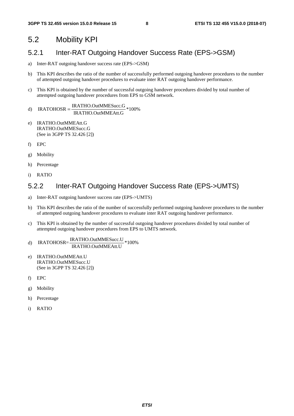#### 5.2 Mobility KPI

#### 5.2.1 Inter-RAT Outgoing Handover Success Rate (EPS->GSM)

- a) Inter-RAT outgoing handover success rate (EPS->GSM)
- b) This KPI describes the ratio of the number of successfully performed outgoing handover procedures to the number of attempted outgoing handover procedures to evaluate inter RAT outgoing handover performance.
- c) This KPI is obtained by the number of successful outgoing handover procedures divided by total number of attempted outgoing handover procedures from EPS to GSM network.

```
d) IRATOHOSR = \frac{IRATHO.OutMMESucc.G}{IRATHO.OutMMEAtt.G} *100\%
```
- e) IRATHO.OutMMEAtt.G IRATHO.OutMMESucc.G (See in 3GPP TS 32.426 [2])
- f) EPC
- g) Mobility
- h) Percentage
- i) RATIO

#### 5.2.2 Inter-RAT Outgoing Handover Success Rate (EPS->UMTS)

- a) Inter-RAT outgoing handover success rate (EPS->UMTS)
- b) This KPI describes the ratio of the number of successfully performed outgoing handover procedures to the number of attempted outgoing handover procedures to evaluate inter RAT outgoing handover performance.
- c) This KPI is obtained by the number of successful outgoing handover procedures divided by total number of attempted outgoing handover procedures from EPS to UMTS network.

#### d) IRATOHOSR= $\frac{\text{IRATHO.OutMMESucc.}U}{\text{IRATION}}$  \*100% IRATHO.OutMMEAtt.U

- e) IRATHO.OutMMEAtt.U IRATHO.OutMMESucc.U (See in 3GPP TS 32.426 [2])
- f) EPC
- g) Mobility
- h) Percentage
- i) RATIO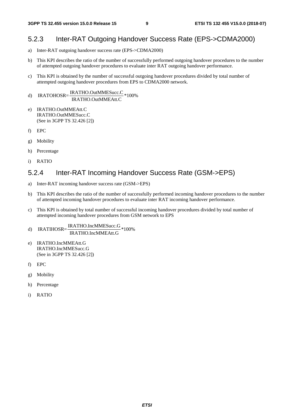#### 5.2.3 Inter-RAT Outgoing Handover Success Rate (EPS->CDMA2000)

- a) Inter-RAT outgoing handover success rate (EPS->CDMA2000)
- b) This KPI describes the ratio of the number of successfully performed outgoing handover procedures to the number of attempted outgoing handover procedures to evaluate inter RAT outgoing handover performance.
- c) This KPI is obtained by the number of successful outgoing handover procedures divided by total number of attempted outgoing handover procedures from EPS to CDMA2000 network.
- d) IRATOHOSR= $\frac{\text{IRATHO.OutMMESucc.}}{\text{IRATHO.OutMMEAtt.}}*100\%$
- e) IRATHO.OutMMEAtt.C IRATHO.OutMMESucc.C (See in 3GPP TS 32.426 [2])
- f) EPC
- g) Mobility
- h) Percentage
- i) RATIO

#### 5.2.4 Inter-RAT Incoming Handover Success Rate (GSM->EPS)

- a) Inter-RAT incoming handover success rate (GSM->EPS)
- b) This KPI describes the ratio of the number of successfully performed incoming handover procedures to the number of attempted incoming handover procedures to evaluate inter RAT incoming handover performance.
- c) This KPI is obtained by total number of successful incoming handover procedures divided by total number of attempted incoming handover procedures from GSM network to EPS
- d) IRATIHOSR= $\frac{\text{IRATHO.IncMMESucc.G}}{\text{IRATHO.IncMMEAtt.G}}*100\%$
- e) IRATHO.IncMMEAtt.G IRATHO.IncMMESucc.G (See in 3GPP TS 32.426 [2])
- f) EPC
- g) Mobility
- h) Percentage
- i) RATIO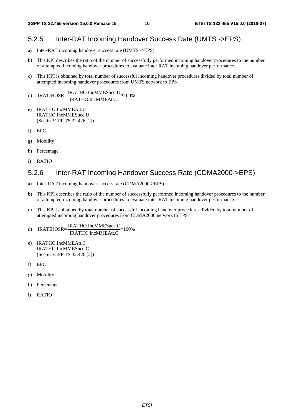#### 5.2.5 Inter-RAT Incoming Handover Success Rate (UMTS ->EPS)

- a) Inter-RAT incoming handover success rate (UMTS ->EPS)
- b) This KPI describes the ratio of the number of successfully performed incoming handover procedures to the number of attempted incoming handover procedures to evaluate inter RAT incoming handover performance.
- c) This KPI is obtained by total number of successful incoming handover procedures divided by total number of attempted incoming handover procedures from UMTS network to EPS

## d) IRATIHOSR= $\frac{\text{IRATHO.IncMMESucc.U}}{\text{IRATHO.IncMMEAtt.U}}*100\%$

- e) IRATHO.IncMMEAtt.U IRATHO.IncMMESucc.U (See in 3GPP TS 32.426 [2])
- f) EPC
- g) Mobility
- h) Percentage
- i) RATIO

#### 5.2.6 Inter-RAT Incoming Handover Success Rate (CDMA2000->EPS)

- a) Inter-RAT incoming handover success rate (CDMA2000->EPS)
- b) This KPI describes the ratio of the number of successfully performed incoming handover procedures to the number of attempted incoming handover procedures to evaluate inter RAT incoming handover performance.
- c) This KPI is obtained by total number of successful incoming handover procedures divided by total number of attempted incoming handover procedures from CDMA2000 network to EPS
- d) IRATIHOSR= $\frac{\text{IRATHO-IncMMESucc.C}}{\text{IRATHO-IncMMEAtt.C}}*100\%$
- e) IRATHO.IncMMEAtt.C IRATHO.IncMMESucc.C (See in 3GPP TS 32.426 [2])
- f) EPC
- g) Mobility
- h) Percentage
- i) RATIO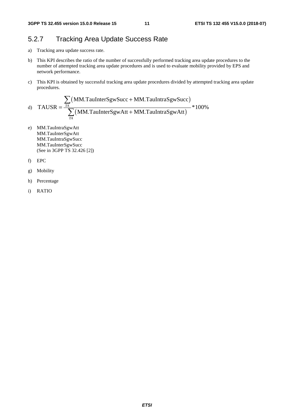#### 5.2.7 Tracking Area Update Success Rate

- a) Tracking area update success rate.
- b) This KPI describes the ratio of the number of successfully performed tracking area update procedures to the number of attempted tracking area update procedures and is used to evaluate mobility provided by EPS and network performance.
- c) This KPI is obtained by successful tracking area update procedures divided by attempted tracking area update procedures.

d) TAUSR = 
$$
\frac{\sum_{TA} (MM.TaulntersgwSucc + MM.TaulntraSgwSucc)}{\sum_{TA} (MM.TaulntersgwAtt + MM.TaulntraSgwAtt)} * 100\%
$$

- e) MM.TauIntraSgwAtt MM.TauInterSgwAtt MM.TauIntraSgwSucc MM.TauInterSgwSucc (See in 3GPP TS 32.426 [2])
- f) EPC
- g) Mobility
- h) Percentage
- i) RATIO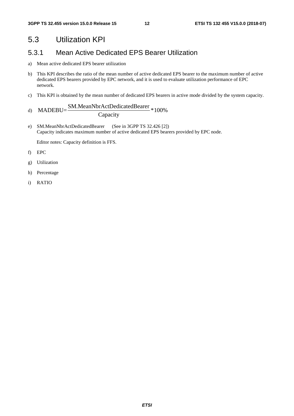#### 5.3 Utilization KPI

#### 5.3.1 Mean Active Dedicated EPS Bearer Utilization

- a) Mean active dedicated EPS bearer utilization
- b) This KPI describes the ratio of the mean number of active dedicated EPS bearer to the maximum number of active dedicated EPS bearers provided by EPC network, and it is used to evaluate utilization performance of EPC network.
- c) This KPI is obtained by the mean number of dedicated EPS bearers in active mode divided by the system capacity.

d) 
$$
MADEBU = \frac{SM.MeanNbrActDedicated Bearer}{Capacity} * 100\%
$$

e) SM.MeanNbrActDedicatedBearer (See in 3GPP TS 32.426 [2]) Capacity indicates maximum number of active dedicated EPS bearers provided by EPC node.

Editor notes: Capacity definition is FFS.

- f) EPC
- g) Utilization
- h) Percentage
- i) RATIO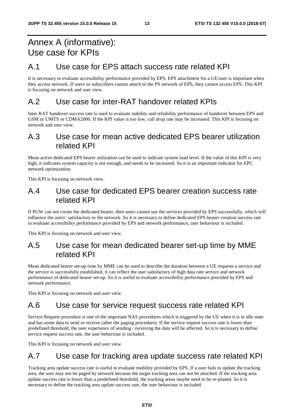## Annex A (informative): Use case for KPIs

#### A.1 Use case for EPS attach success rate related KPI

It is necessary to evaluate accessibility performance provided by EPS. EPS attachment for a UE/user is important when they access network. If users or subscribers cannot attach to the PS network of EPS, they cannot access EPS. This KPI is focusing on network and user view.

#### A.2 Use case for inter-RAT handover related KPIs

Inter RAT handover success rate is used to evaluate stability and reliability performance of handover between EPS and GSM or UMTS or CDMA2000. If the KPI value is too low, call drop rate may be increased. This KPI is focusing on network and user view.

#### A.3 Use case for mean active dedicated EPS bearer utilization related KPI

Mean active dedicated EPS bearer utilization can be used to indicate system load level. If the value of this KPI is very high, it indicates system capacity is not enough, and needs to be increased. So it is an important indicator for EPC network optimization.

This KPI is focusing on network view.

#### A.4 Use case for dedicated EPS bearer creation success rate related KPI

If PGW can not create the dedicated bearer, then users cannot use the services provided by EPS successfully, which will influence the users' satisfactory to the network. So it is necessary to define dedicated EPS bearer creation success rate to evaluate accessibility performance provided by EPS and network performance, user behaviour is included.

This KPI is focusing on network and user view.

#### A.5 Use case for mean dedicated bearer set-up time by MME related KPI

Mean dedicated bearer set-up time by MME can be used to describe the duration between a UE requests a service and the service is successfully established, it can reflect the user satisfactory of high data rate service and network performance of dedicated bearer set-up. So it is useful to evaluate accessibility performance provided by EPS and network performance.

This KPI is focusing on network and user view.

#### A.6 Use case for service request success rate related KPI

Service Request procedure is one of the important NAS procedures which is triggered by the UE when it is in idle state and has some data to send or receive (after the paging procedure). If the service request success rate is lower than predefined threshold, the user experience of sending / receiving the data will be affected. So it is necessary to define service request success rate, the user behaviour is included.

This KPI is focusing on network and user view.

#### A.7 Use case for tracking area update success rate related KPI

Tracking area update success rate is useful to evaluate mobility provided by EPS. If a user fails to update the tracking area, the user may not be paged by network because the target tracking area can not be attached. If the tracking area update success rate is lower than a predefined threshold, the tracking areas maybe need to be re-planed. So it is necessary to define the tracking area update success rate, the user behaviour is included.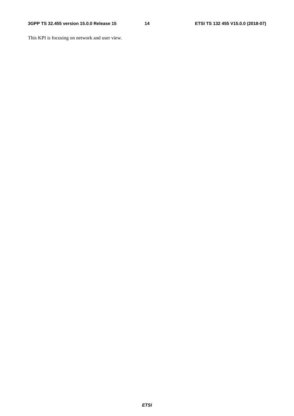This KPI is focusing on network and user view.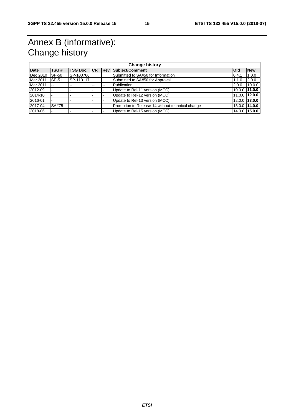## Annex B (informative): Change history

| <b>Change history</b> |       |           |    |    |                                                  |                 |            |  |  |
|-----------------------|-------|-----------|----|----|--------------------------------------------------|-----------------|------------|--|--|
| <b>Date</b>           | TSG#  |           |    |    | TSG Doc. CR   Rev   Subject/Comment              | <b>Old</b>      | <b>New</b> |  |  |
| Dec 2010              | SP-50 | SP-100766 |    |    | Submitted to SA#50 for Information               | 0.4.1           | 1.0.0      |  |  |
| Mar 2011              | SP-51 | SP-110117 |    |    | Submitted to SA#50 for Approval                  | 1.1.0           | 2.0.0      |  |  |
| Mar 2011              | $- -$ |           | -- | -- | Publication                                      | 2.0.0           | 10.0.0     |  |  |
| 2012-09               |       |           |    |    | Update to Rel-11 version (MCC)                   | $10.0.0$ 11.0.0 |            |  |  |
| 2014-10               |       |           |    |    | Update to Rel-12 version (MCC)                   | 11.0.0 12.0.0   |            |  |  |
| 2016-01               |       |           |    |    | Update to Rel-13 version (MCC)                   | 12.0.0 13.0.0   |            |  |  |
| 2017-04               | SA#75 |           |    |    | Promotion to Release 14 without technical change | $13.0.0$ 14.0.0 |            |  |  |
| 2018-06               |       |           |    |    | Update to Rel-15 version (MCC)                   | 14.0.0 15.0.0   |            |  |  |